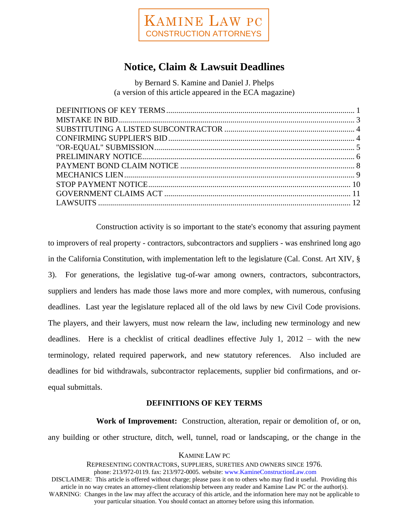

# **Notice, Claim & Lawsuit Deadlines**

by Bernard S. Kamine and Daniel J. Phelps (a version of this article appeared in the ECA magazine)

Construction activity is so important to the state's economy that assuring payment to improvers of real property - contractors, subcontractors and suppliers - was enshrined long ago in the California Constitution, with implementation left to the legislature (Cal. Const. Art XIV, § 3). For generations, the legislative tug-of-war among owners, contractors, subcontractors, suppliers and lenders has made those laws more and more complex, with numerous, confusing deadlines. Last year the legislature replaced all of the old laws by new Civil Code provisions. The players, and their lawyers, must now relearn the law, including new terminology and new deadlines. Here is a checklist of critical deadlines effective July 1, 2012 – with the new terminology, related required paperwork, and new statutory references. Also included are deadlines for bid withdrawals, subcontractor replacements, supplier bid confirmations, and orequal submittals.

# **DEFINITIONS OF KEY TERMS**

**Work of Improvement:** Construction, alteration, repair or demolition of, or on, any building or other structure, ditch, well, tunnel, road or landscaping, or the change in the

## KAMINE LAW PC

REPRESENTING CONTRACTORS, SUPPLIERS, SURETIES AND OWNERS SINCE 1976. phone: 213/972-0119. fax: 213/972-0005. website: www.KamineConstructionLaw.com DISCLAIMER: This article is offered without charge; please pass it on to others who may find it useful. Providing this article in no way creates an attorney-client relationship between any reader and Kamine Law PC or the author(s). WARNING: Changes in the law may affect the accuracy of this article, and the information here may not be applicable to your particular situation. You should contact an attorney before using this information.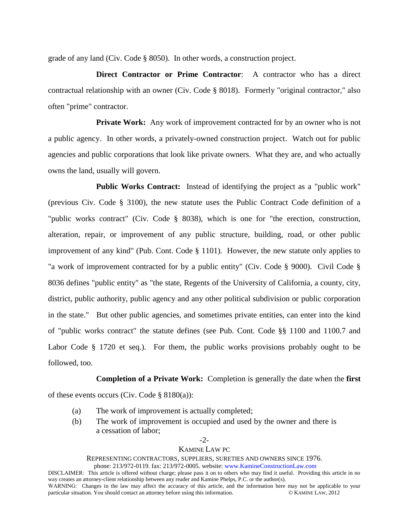grade of any land (Civ. Code § 8050). In other words, a construction project.

**Direct Contractor or Prime Contractor**: A contractor who has a direct contractual relationship with an owner (Civ. Code § 8018). Formerly "original contractor," also often "prime" contractor.

**Private Work:** Any work of improvement contracted for by an owner who is not a public agency. In other words, a privately-owned construction project. Watch out for public agencies and public corporations that look like private owners. What they are, and who actually owns the land, usually will govern.

**Public Works Contract:** Instead of identifying the project as a "public work" (previous Civ. Code § 3100), the new statute uses the Public Contract Code definition of a "public works contract" (Civ. Code § 8038), which is one for "the erection, construction, alteration, repair, or improvement of any public structure, building, road, or other public improvement of any kind" (Pub. Cont. Code § 1101). However, the new statute only applies to "a work of improvement contracted for by a public entity" (Civ. Code § 9000). Civil Code § 8036 defines "public entity" as "the state, Regents of the University of California, a county, city, district, public authority, public agency and any other political subdivision or public corporation in the state." But other public agencies, and sometimes private entities, can enter into the kind of "public works contract" the statute defines (see Pub. Cont. Code §§ 1100 and 1100.7 and Labor Code § 1720 et seq.). For them, the public works provisions probably ought to be followed, too.

**Completion of a Private Work:** Completion is generally the date when the **first**

of these events occurs (Civ. Code  $\S 8180(a)$ ):

(a) The work of improvement is actually completed;

particular situation. You should contact an attorney before using this information.

(b) The work of improvement is occupied and used by the owner and there is a cessation of labor;

### -2- KAMINE LAW PC

#### REPRESENTING CONTRACTORS, SUPPLIERS, SURETIES AND OWNERS SINCE 1976.

phone: 213/972-0119. fax: 213/972-0005. website: www.KamineConstructionLaw.com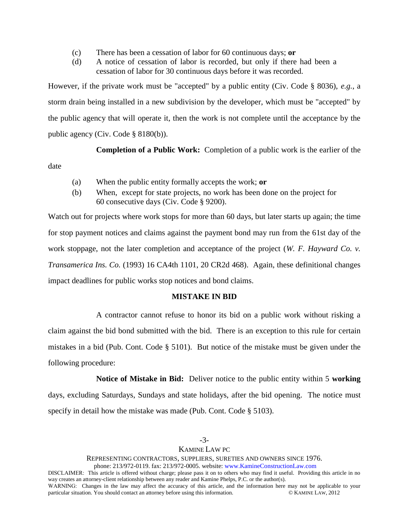- (c) There has been a cessation of labor for 60 continuous days; **or**
- (d) A notice of cessation of labor is recorded, but only if there had been a cessation of labor for 30 continuous days before it was recorded.

However, if the private work must be "accepted" by a public entity (Civ. Code § 8036), *e.g.*, a storm drain being installed in a new subdivision by the developer, which must be "accepted" by the public agency that will operate it, then the work is not complete until the acceptance by the public agency (Civ. Code § 8180(b)).

**Completion of a Public Work:** Completion of a public work is the earlier of the

date

- (a) When the public entity formally accepts the work; **or**
- (b) When, except for state projects, no work has been done on the project for 60 consecutive days (Civ. Code § 9200).

Watch out for projects where work stops for more than 60 days, but later starts up again; the time for stop payment notices and claims against the payment bond may run from the 61st day of the work stoppage, not the later completion and acceptance of the project (*W. F. Hayward Co. v. Transamerica Ins. Co.* (1993) 16 CA4th 1101, 20 CR2d 468). Again, these definitional changes impact deadlines for public works stop notices and bond claims.

# **MISTAKE IN BID**

A contractor cannot refuse to honor its bid on a public work without risking a claim against the bid bond submitted with the bid. There is an exception to this rule for certain mistakes in a bid (Pub. Cont. Code § 5101). But notice of the mistake must be given under the following procedure:

**Notice of Mistake in Bid:** Deliver notice to the public entity within 5 **working** days, excluding Saturdays, Sundays and state holidays, after the bid opening. The notice must specify in detail how the mistake was made (Pub. Cont. Code § 5103).

REPRESENTING CONTRACTORS, SUPPLIERS, SURETIES AND OWNERS SINCE 1976.

phone: 213/972-0119. fax: 213/972-0005. website: www.KamineConstructionLaw.com

DISCLAIMER: This article is offered without charge; please pass it on to others who may find it useful. Providing this article in no way creates an attorney-client relationship between any reader and Kamine Phelps, P.C. or the author(s). WARNING: Changes in the law may affect the accuracy of this article, and the information here may not be applicable to your particular situation. You should contact an attorney before using this information. particular situation. You should contact an attorney before using this information.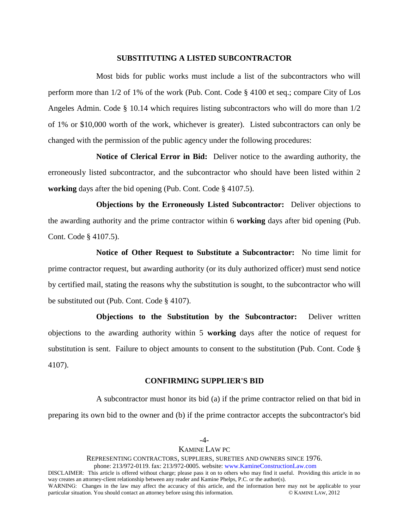#### **SUBSTITUTING A LISTED SUBCONTRACTOR**

Most bids for public works must include a list of the subcontractors who will perform more than 1/2 of 1% of the work (Pub. Cont. Code § 4100 et seq.; compare City of Los Angeles Admin. Code § 10.14 which requires listing subcontractors who will do more than 1/2 of 1% or \$10,000 worth of the work, whichever is greater). Listed subcontractors can only be changed with the permission of the public agency under the following procedures:

**Notice of Clerical Error in Bid:** Deliver notice to the awarding authority, the erroneously listed subcontractor, and the subcontractor who should have been listed within 2 **working** days after the bid opening (Pub. Cont. Code § 4107.5).

**Objections by the Erroneously Listed Subcontractor:** Deliver objections to the awarding authority and the prime contractor within 6 **working** days after bid opening (Pub. Cont. Code § 4107.5).

**Notice of Other Request to Substitute a Subcontractor:** No time limit for prime contractor request, but awarding authority (or its duly authorized officer) must send notice by certified mail, stating the reasons why the substitution is sought, to the subcontractor who will be substituted out (Pub. Cont. Code § 4107).

**Objections to the Substitution by the Subcontractor:** Deliver written objections to the awarding authority within 5 **working** days after the notice of request for substitution is sent. Failure to object amounts to consent to the substitution (Pub. Cont. Code § 4107).

#### **CONFIRMING SUPPLIER'S BID**

A subcontractor must honor its bid (a) if the prime contractor relied on that bid in preparing its own bid to the owner and (b) if the prime contractor accepts the subcontractor's bid

# -4- KAMINE LAW PC

REPRESENTING CONTRACTORS, SUPPLIERS, SURETIES AND OWNERS SINCE 1976.

phone: 213/972-0119. fax: 213/972-0005. website: www.KamineConstructionLaw.com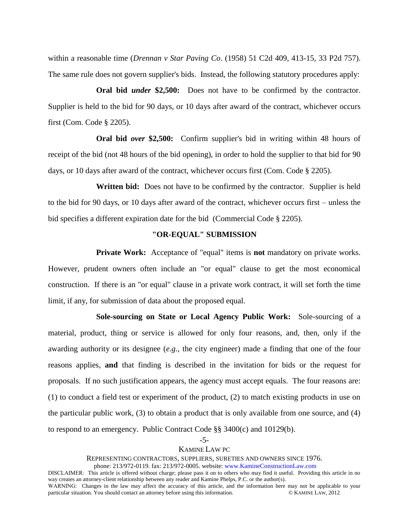within a reasonable time (*Drennan v Star Paving Co*. (1958) 51 C2d 409, 413-15, 33 P2d 757). The same rule does not govern supplier's bids. Instead, the following statutory procedures apply:

**Oral bid** *under* **\$2,500:** Does not have to be confirmed by the contractor. Supplier is held to the bid for 90 days, or 10 days after award of the contract, whichever occurs first (Com. Code § 2205).

**Oral bid** *over* **\$2,500:** Confirm supplier's bid in writing within 48 hours of receipt of the bid (not 48 hours of the bid opening), in order to hold the supplier to that bid for 90 days, or 10 days after award of the contract, whichever occurs first (Com. Code § 2205).

**Written bid:** Does not have to be confirmed by the contractor. Supplier is held to the bid for 90 days, or 10 days after award of the contract, whichever occurs first – unless the bid specifies a different expiration date for the bid (Commercial Code § 2205).

## **"OR-EQUAL" SUBMISSION**

**Private Work:** Acceptance of "equal" items is **not** mandatory on private works. However, prudent owners often include an "or equal" clause to get the most economical construction. If there is an "or equal" clause in a private work contract, it will set forth the time limit, if any, for submission of data about the proposed equal.

**Sole-sourcing on State or Local Agency Public Work:** Sole-sourcing of a material, product, thing or service is allowed for only four reasons, and, then, only if the awarding authority or its designee (*e.g.*, the city engineer) made a finding that one of the four reasons applies, **and** that finding is described in the invitation for bids or the request for proposals. If no such justification appears, the agency must accept equals. The four reasons are: (1) to conduct a field test or experiment of the product, (2) to match existing products in use on the particular public work, (3) to obtain a product that is only available from one source, and (4) to respond to an emergency. Public Contract Code §§ 3400(c) and 10129(b).

## KAMINE LAW PC

REPRESENTING CONTRACTORS, SUPPLIERS, SURETIES AND OWNERS SINCE 1976.

phone: 213/972-0119. fax: 213/972-0005. website: www.KamineConstructionLaw.com

<sup>-5-</sup>

DISCLAIMER: This article is offered without charge; please pass it on to others who may find it useful. Providing this article in no way creates an attorney-client relationship between any reader and Kamine Phelps, P.C. or the author(s).

WARNING: Changes in the law may affect the accuracy of this article, and the information here may not be applicable to your particular situation. You should contact an attorney before using this information. particular situation. You should contact an attorney before using this information.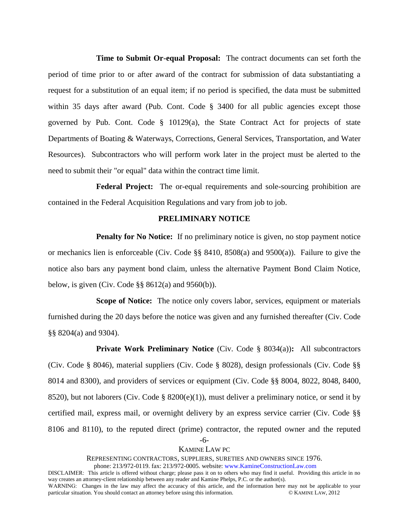**Time to Submit Or-equal Proposal:** The contract documents can set forth the period of time prior to or after award of the contract for submission of data substantiating a request for a substitution of an equal item; if no period is specified, the data must be submitted within 35 days after award (Pub. Cont. Code § 3400 for all public agencies except those governed by Pub. Cont. Code § 10129(a), the State Contract Act for projects of state Departments of Boating & Waterways, Corrections, General Services, Transportation, and Water Resources). Subcontractors who will perform work later in the project must be alerted to the need to submit their "or equal" data within the contract time limit.

**Federal Project:** The or-equal requirements and sole-sourcing prohibition are contained in the Federal Acquisition Regulations and vary from job to job.

## **PRELIMINARY NOTICE**

**Penalty for No Notice:** If no preliminary notice is given, no stop payment notice or mechanics lien is enforceable (Civ. Code §§ 8410, 8508(a) and 9500(a)). Failure to give the notice also bars any payment bond claim, unless the alternative Payment Bond Claim Notice, below, is given (Civ. Code  $\S$ § 8612(a) and 9560(b)).

**Scope of Notice:** The notice only covers labor, services, equipment or materials furnished during the 20 days before the notice was given and any furnished thereafter (Civ. Code §§ 8204(a) and 9304).

**Private Work Preliminary Notice** (Civ. Code § 8034(a))**:** All subcontractors (Civ. Code § 8046), material suppliers (Civ. Code § 8028), design professionals (Civ. Code §§ 8014 and 8300), and providers of services or equipment (Civ. Code §§ 8004, 8022, 8048, 8400, 8520), but not laborers (Civ. Code § 8200(e)(1)), must deliver a preliminary notice, or send it by certified mail, express mail, or overnight delivery by an express service carrier (Civ. Code §§ 8106 and 8110), to the reputed direct (prime) contractor, the reputed owner and the reputed

> -6- KAMINE LAW PC

#### REPRESENTING CONTRACTORS, SUPPLIERS, SURETIES AND OWNERS SINCE 1976.

phone: 213/972-0119. fax: 213/972-0005. website: www.KamineConstructionLaw.com

WARNING: Changes in the law may affect the accuracy of this article, and the information here may not be applicable to your particular situation. You should contact an attorney before using this information. particular situation. You should contact an attorney before using this information.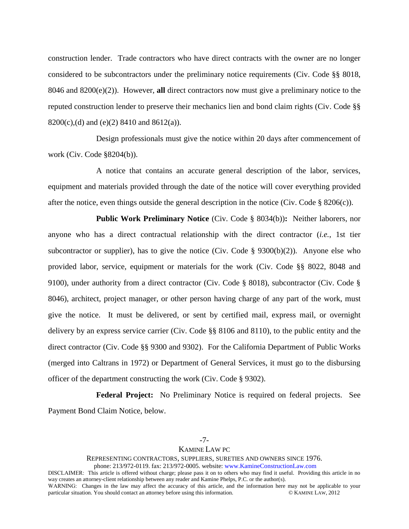construction lender. Trade contractors who have direct contracts with the owner are no longer considered to be subcontractors under the preliminary notice requirements (Civ. Code §§ 8018, 8046 and 8200(e)(2)). However, **all** direct contractors now must give a preliminary notice to the reputed construction lender to preserve their mechanics lien and bond claim rights (Civ. Code §§ 8200(c),(d) and (e)(2) 8410 and 8612(a)).

Design professionals must give the notice within 20 days after commencement of work (Civ. Code §8204(b)).

A notice that contains an accurate general description of the labor, services, equipment and materials provided through the date of the notice will cover everything provided after the notice, even things outside the general description in the notice (Civ. Code  $\S$  8206(c)).

**Public Work Preliminary Notice** (Civ. Code § 8034(b))**:** Neither laborers, nor anyone who has a direct contractual relationship with the direct contractor (*i.e.*, 1st tier subcontractor or supplier), has to give the notice (Civ. Code  $\S$  9300(b)(2)). Anyone else who provided labor, service, equipment or materials for the work (Civ. Code §§ 8022, 8048 and 9100), under authority from a direct contractor (Civ. Code § 8018), subcontractor (Civ. Code § 8046), architect, project manager, or other person having charge of any part of the work, must give the notice. It must be delivered, or sent by certified mail, express mail, or overnight delivery by an express service carrier (Civ. Code §§ 8106 and 8110), to the public entity and the direct contractor (Civ. Code §§ 9300 and 9302). For the California Department of Public Works (merged into Caltrans in 1972) or Department of General Services, it must go to the disbursing officer of the department constructing the work (Civ. Code § 9302).

**Federal Project:** No Preliminary Notice is required on federal projects. See Payment Bond Claim Notice, below.

-7-

# KAMINE LAW PC

REPRESENTING CONTRACTORS, SUPPLIERS, SURETIES AND OWNERS SINCE 1976.

phone: 213/972-0119. fax: 213/972-0005. website: www.KamineConstructionLaw.com

WARNING: Changes in the law may affect the accuracy of this article, and the information here may not be applicable to your particular situation. You should contact an attorney before using this information. particular situation. You should contact an attorney before using this information.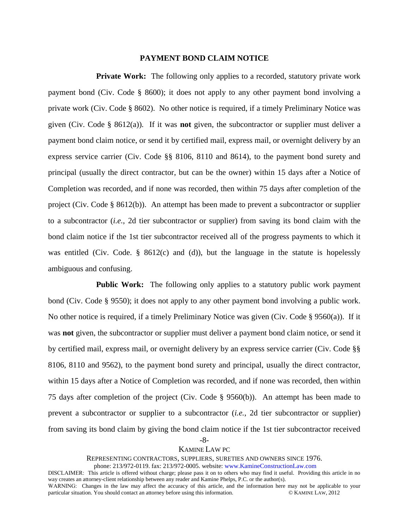## **PAYMENT BOND CLAIM NOTICE**

**Private Work:** The following only applies to a recorded, statutory private work payment bond (Civ. Code § 8600); it does not apply to any other payment bond involving a private work (Civ. Code § 8602). No other notice is required, if a timely Preliminary Notice was given (Civ. Code § 8612(a)). If it was **not** given, the subcontractor or supplier must deliver a payment bond claim notice, or send it by certified mail, express mail, or overnight delivery by an express service carrier (Civ. Code §§ 8106, 8110 and 8614), to the payment bond surety and principal (usually the direct contractor, but can be the owner) within 15 days after a Notice of Completion was recorded, and if none was recorded, then within 75 days after completion of the project (Civ. Code § 8612(b)). An attempt has been made to prevent a subcontractor or supplier to a subcontractor (*i.e.*, 2d tier subcontractor or supplier) from saving its bond claim with the bond claim notice if the 1st tier subcontractor received all of the progress payments to which it was entitled (Civ. Code. § 8612(c) and (d)), but the language in the statute is hopelessly ambiguous and confusing.

**Public Work:** The following only applies to a statutory public work payment bond (Civ. Code § 9550); it does not apply to any other payment bond involving a public work. No other notice is required, if a timely Preliminary Notice was given (Civ. Code § 9560(a)). If it was **not** given, the subcontractor or supplier must deliver a payment bond claim notice, or send it by certified mail, express mail, or overnight delivery by an express service carrier (Civ. Code §§ 8106, 8110 and 9562), to the payment bond surety and principal, usually the direct contractor, within 15 days after a Notice of Completion was recorded, and if none was recorded, then within 75 days after completion of the project (Civ. Code § 9560(b)). An attempt has been made to prevent a subcontractor or supplier to a subcontractor (*i.e.*, 2d tier subcontractor or supplier) from saving its bond claim by giving the bond claim notice if the 1st tier subcontractor received

-8-

#### KAMINE LAW PC

#### REPRESENTING CONTRACTORS, SUPPLIERS, SURETIES AND OWNERS SINCE 1976.

phone: 213/972-0119. fax: 213/972-0005. website: www.KamineConstructionLaw.com

WARNING: Changes in the law may affect the accuracy of this article, and the information here may not be applicable to your particular situation. You should contact an attorney before using this information. particular situation. You should contact an attorney before using this information.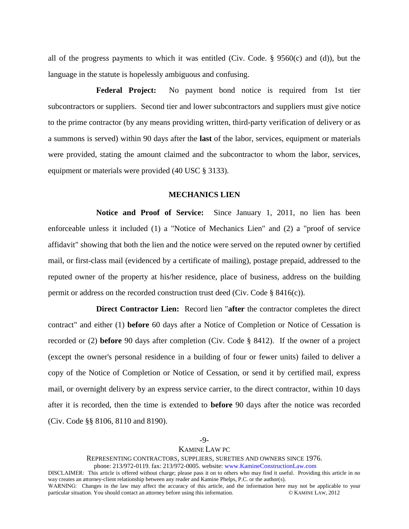all of the progress payments to which it was entitled (Civ. Code. § 9560(c) and (d)), but the language in the statute is hopelessly ambiguous and confusing.

**Federal Project:** No payment bond notice is required from 1st tier subcontractors or suppliers. Second tier and lower subcontractors and suppliers must give notice to the prime contractor (by any means providing written, third-party verification of delivery or as a summons is served) within 90 days after the **last** of the labor, services, equipment or materials were provided, stating the amount claimed and the subcontractor to whom the labor, services, equipment or materials were provided (40 USC § 3133).

# **MECHANICS LIEN**

**Notice and Proof of Service:** Since January 1, 2011, no lien has been enforceable unless it included (1) a "Notice of Mechanics Lien" and (2) a "proof of service affidavit" showing that both the lien and the notice were served on the reputed owner by certified mail, or first-class mail (evidenced by a certificate of mailing), postage prepaid, addressed to the reputed owner of the property at his/her residence, place of business, address on the building permit or address on the recorded construction trust deed (Civ. Code  $\S$  8416(c)).

**Direct Contractor Lien:** Record lien "**after** the contractor completes the direct contract" and either (1) **before** 60 days after a Notice of Completion or Notice of Cessation is recorded or (2) **before** 90 days after completion (Civ. Code § 8412). If the owner of a project (except the owner's personal residence in a building of four or fewer units) failed to deliver a copy of the Notice of Completion or Notice of Cessation, or send it by certified mail, express mail, or overnight delivery by an express service carrier, to the direct contractor, within 10 days after it is recorded, then the time is extended to **before** 90 days after the notice was recorded (Civ. Code §§ 8106, 8110 and 8190).

-9-

## KAMINE LAW PC

REPRESENTING CONTRACTORS, SUPPLIERS, SURETIES AND OWNERS SINCE 1976.

phone: 213/972-0119. fax: 213/972-0005. website: www.KamineConstructionLaw.com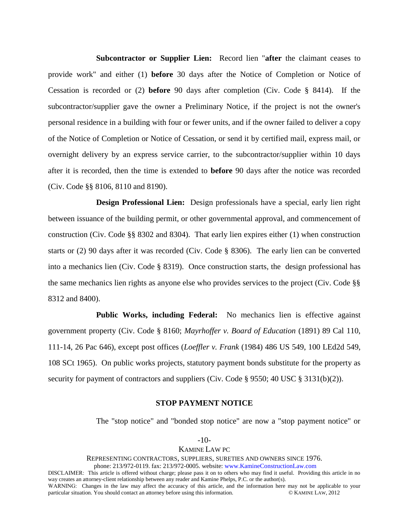**Subcontractor or Supplier Lien:** Record lien "**after** the claimant ceases to provide work" and either (1) **before** 30 days after the Notice of Completion or Notice of Cessation is recorded or (2) **before** 90 days after completion (Civ. Code § 8414). If the subcontractor/supplier gave the owner a Preliminary Notice, if the project is not the owner's personal residence in a building with four or fewer units, and if the owner failed to deliver a copy of the Notice of Completion or Notice of Cessation, or send it by certified mail, express mail, or overnight delivery by an express service carrier, to the subcontractor/supplier within 10 days after it is recorded, then the time is extended to **before** 90 days after the notice was recorded (Civ. Code §§ 8106, 8110 and 8190).

**Design Professional Lien:** Design professionals have a special, early lien right between issuance of the building permit, or other governmental approval, and commencement of construction (Civ. Code §§ 8302 and 8304). That early lien expires either (1) when construction starts or (2) 90 days after it was recorded (Civ. Code § 8306). The early lien can be converted into a mechanics lien (Civ. Code § 8319). Once construction starts, the design professional has the same mechanics lien rights as anyone else who provides services to the project (Civ. Code §§ 8312 and 8400).

**Public Works, including Federal:** No mechanics lien is effective against government property (Civ. Code § 8160; *Mayrhoffer v. Board of Education* (1891) 89 Cal 110, 111-14, 26 Pac 646), except post offices (*Loeffler v. Frank* (1984) 486 US 549, 100 LEd2d 549, 108 SCt 1965). On public works projects, statutory payment bonds substitute for the property as security for payment of contractors and suppliers (Civ. Code § 9550; 40 USC § 3131(b)(2)).

#### **STOP PAYMENT NOTICE**

The "stop notice" and "bonded stop notice" are now a "stop payment notice" or

#### KAMINE LAW PC

REPRESENTING CONTRACTORS, SUPPLIERS, SURETIES AND OWNERS SINCE 1976.

phone: 213/972-0119. fax: 213/972-0005. website: www.KamineConstructionLaw.com

DISCLAIMER: This article is offered without charge; please pass it on to others who may find it useful. Providing this article in no way creates an attorney-client relationship between any reader and Kamine Phelps, P.C. or the author(s).

WARNING: Changes in the law may affect the accuracy of this article, and the information here may not be applicable to your particular situation. You should contact an attorney before using this information. particular situation. You should contact an attorney before using this information.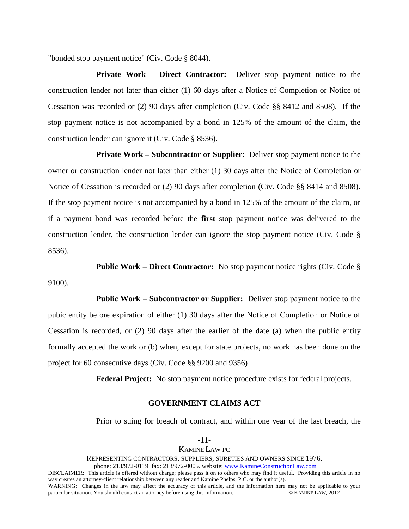"bonded stop payment notice" (Civ. Code § 8044).

**Private Work – Direct Contractor:** Deliver stop payment notice to the construction lender not later than either (1) 60 days after a Notice of Completion or Notice of Cessation was recorded or (2) 90 days after completion (Civ. Code §§ 8412 and 8508). If the stop payment notice is not accompanied by a bond in 125% of the amount of the claim, the construction lender can ignore it (Civ. Code § 8536).

**Private Work – Subcontractor or Supplier:** Deliver stop payment notice to the owner or construction lender not later than either (1) 30 days after the Notice of Completion or Notice of Cessation is recorded or (2) 90 days after completion (Civ. Code §§ 8414 and 8508). If the stop payment notice is not accompanied by a bond in 125% of the amount of the claim, or if a payment bond was recorded before the **first** stop payment notice was delivered to the construction lender, the construction lender can ignore the stop payment notice (Civ. Code § 8536).

**Public Work – Direct Contractor:** No stop payment notice rights (Civ. Code § 9100).

**Public Work – Subcontractor or Supplier:** Deliver stop payment notice to the pubic entity before expiration of either (1) 30 days after the Notice of Completion or Notice of Cessation is recorded, or (2) 90 days after the earlier of the date (a) when the public entity formally accepted the work or (b) when, except for state projects, no work has been done on the project for 60 consecutive days (Civ. Code §§ 9200 and 9356)

**Federal Project:** No stop payment notice procedure exists for federal projects.

### **GOVERNMENT CLAIMS ACT**

Prior to suing for breach of contract, and within one year of the last breach, the

#### -11- KAMINE LAW PC

REPRESENTING CONTRACTORS, SUPPLIERS, SURETIES AND OWNERS SINCE 1976.

phone: 213/972-0119. fax: 213/972-0005. website: www.KamineConstructionLaw.com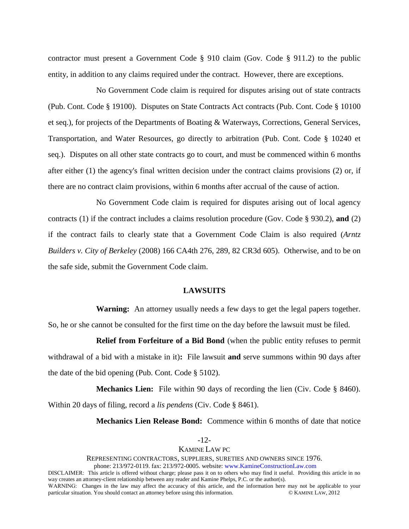contractor must present a Government Code § 910 claim (Gov. Code § 911.2) to the public entity, in addition to any claims required under the contract. However, there are exceptions.

No Government Code claim is required for disputes arising out of state contracts (Pub. Cont. Code § 19100). Disputes on State Contracts Act contracts (Pub. Cont. Code § 10100 et seq.), for projects of the Departments of Boating & Waterways, Corrections, General Services, Transportation, and Water Resources, go directly to arbitration (Pub. Cont. Code § 10240 et seq.). Disputes on all other state contracts go to court, and must be commenced within 6 months after either (1) the agency's final written decision under the contract claims provisions (2) or, if there are no contract claim provisions, within 6 months after accrual of the cause of action.

No Government Code claim is required for disputes arising out of local agency contracts (1) if the contract includes a claims resolution procedure (Gov. Code § 930.2), **and** (2) if the contract fails to clearly state that a Government Code Claim is also required (*Arntz Builders v. City of Berkeley* (2008) 166 CA4th 276, 289, 82 CR3d 605). Otherwise, and to be on the safe side, submit the Government Code claim.

#### **LAWSUITS**

**Warning:** An attorney usually needs a few days to get the legal papers together. So, he or she cannot be consulted for the first time on the day before the lawsuit must be filed.

**Relief from Forfeiture of a Bid Bond** (when the public entity refuses to permit withdrawal of a bid with a mistake in it)**:** File lawsuit **and** serve summons within 90 days after the date of the bid opening (Pub. Cont. Code § 5102).

**Mechanics Lien:** File within 90 days of recording the lien (Civ. Code § 8460). Within 20 days of filing, record a *lis pendens* (Civ. Code § 8461).

**Mechanics Lien Release Bond:** Commence within 6 months of date that notice

|  |  | ٠ |
|--|--|---|
|--|--|---|

#### KAMINE LAW PC

#### REPRESENTING CONTRACTORS, SUPPLIERS, SURETIES AND OWNERS SINCE 1976.

phone: 213/972-0119. fax: 213/972-0005. website: www.KamineConstructionLaw.com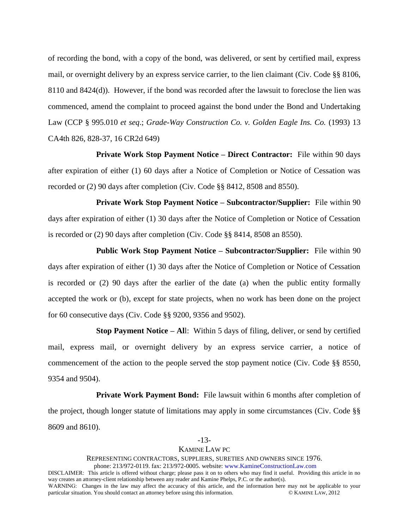of recording the bond, with a copy of the bond, was delivered, or sent by certified mail, express mail, or overnight delivery by an express service carrier, to the lien claimant (Civ. Code §§ 8106, 8110 and 8424(d)). However, if the bond was recorded after the lawsuit to foreclose the lien was commenced, amend the complaint to proceed against the bond under the Bond and Undertaking Law (CCP § 995.010 *et seq*.; *Grade-Way Construction Co. v. Golden Eagle Ins. Co.* (1993) 13 CA4th 826, 828-37, 16 CR2d 649)

**Private Work Stop Payment Notice – Direct Contractor:** File within 90 days after expiration of either (1) 60 days after a Notice of Completion or Notice of Cessation was recorded or (2) 90 days after completion (Civ. Code §§ 8412, 8508 and 8550).

**Private Work Stop Payment Notice – Subcontractor/Supplier:** File within 90 days after expiration of either (1) 30 days after the Notice of Completion or Notice of Cessation is recorded or (2) 90 days after completion (Civ. Code §§ 8414, 8508 an 8550).

**Public Work Stop Payment Notice – Subcontractor/Supplier:** File within 90 days after expiration of either (1) 30 days after the Notice of Completion or Notice of Cessation is recorded or (2) 90 days after the earlier of the date (a) when the public entity formally accepted the work or (b), except for state projects, when no work has been done on the project for 60 consecutive days (Civ. Code §§ 9200, 9356 and 9502).

**Stop Payment Notice – Al**l: Within 5 days of filing, deliver, or send by certified mail, express mail, or overnight delivery by an express service carrier, a notice of commencement of the action to the people served the stop payment notice (Civ. Code §§ 8550, 9354 and 9504).

**Private Work Payment Bond:** File lawsuit within 6 months after completion of the project, though longer statute of limitations may apply in some circumstances (Civ. Code §§ 8609 and 8610).

#### KAMINE LAW PC

REPRESENTING CONTRACTORS, SUPPLIERS, SURETIES AND OWNERS SINCE 1976.

phone: 213/972-0119. fax: 213/972-0005. website: www.KamineConstructionLaw.com